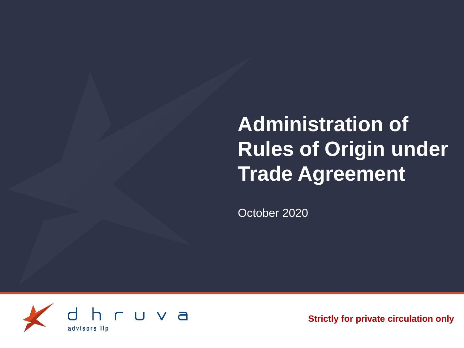**Administration of Rules of Origin under Trade Agreement**

October 2020



**Strictly for private circulation only**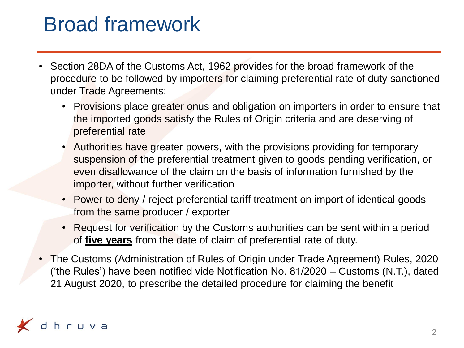## Broad framework

- Section 28DA of the Customs Act, 1962 provides for the broad framework of the procedure to be followed by importers for claiming preferential rate of duty sanctioned under Trade Agreements:
	- Provisions place greater onus and obligation on importers in order to ensure that the imported goods satisfy the Rules of Origin criteria and are deserving of preferential rate
	- Authorities have greater powers, with the provisions providing for temporary suspension of the preferential treatment given to goods pending verification, or even disallowance of the claim on the basis of information furnished by the importer, without further verification
	- Power to deny / reject preferential tariff treatment on import of identical goods from the same producer / exporter
	- Request for verification by the Customs authorities can be sent within a period of **five years** from the date of claim of preferential rate of duty.
- The Customs (Administration of Rules of Origin under Trade Agreement) Rules, 2020 ('the Rules') have been notified vide Notification No. 81/2020 – Customs (N.T.), dated 21 August 2020, to prescribe the detailed procedure for claiming the benefit

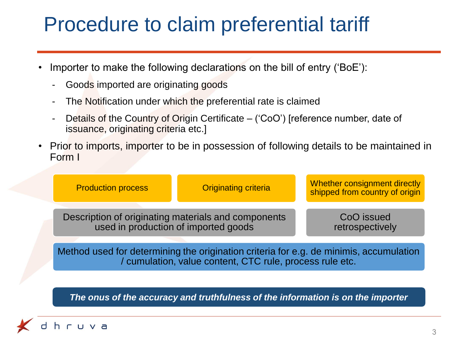### Procedure to claim preferential tariff

- Importer to make the following declarations on the bill of entry ('BoE'):
	- Goods imported are originating goods
	- The Notification under which the preferential rate is claimed
	- Details of the Country of Origin Certificate ('CoO') [reference number, date of issuance, originating criteria etc.]
- Prior to imports, importer to be in possession of following details to be maintained in Form I

|  | <b>Production process</b>                                                                   | <b>Originating criteria</b> | Whether consignment directly<br>shipped from country of origin |
|--|---------------------------------------------------------------------------------------------|-----------------------------|----------------------------------------------------------------|
|  | Description of originating materials and components<br>used in production of imported goods |                             | CoO issued<br>retrospectively                                  |
|  |                                                                                             |                             |                                                                |

Method used for determining the origination criteria for e.g. de minimis, accumulation / cumulation, value content, CTC rule, process rule etc.

*The onus of the accuracy and truthfulness of the information is on the importer*

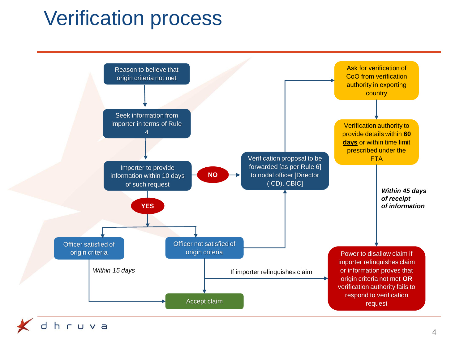## Verification process



4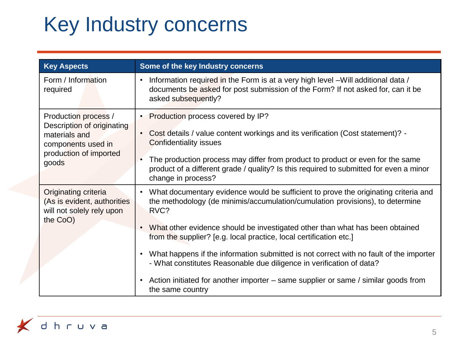# Key Industry concerns

| <b>Key Aspects</b>                                                                                                           | Some of the key Industry concerns                                                                                                                                                                                                                                                                                                                                                                                                                                                                                                                                                                                                                     |
|------------------------------------------------------------------------------------------------------------------------------|-------------------------------------------------------------------------------------------------------------------------------------------------------------------------------------------------------------------------------------------------------------------------------------------------------------------------------------------------------------------------------------------------------------------------------------------------------------------------------------------------------------------------------------------------------------------------------------------------------------------------------------------------------|
| Form / Information<br>required                                                                                               | Information required in the Form is at a very high level - Will additional data /<br>documents be asked for post submission of the Form? If not asked for, can it be<br>asked subsequently?                                                                                                                                                                                                                                                                                                                                                                                                                                                           |
| Production process /<br>Description of originating<br>materials and<br>components used in<br>production of imported<br>goods | • Production process covered by IP?<br>Cost details / value content workings and its verification (Cost statement)? -<br><b>Confidentiality issues</b><br>The production process may differ from product to product or even for the same<br>product of a different grade / quality? Is this required to submitted for even a minor<br>change in process?                                                                                                                                                                                                                                                                                              |
| Originating criteria<br>(As is evident, authorities<br>will not solely rely upon<br>the CoO)                                 | What documentary evidence would be sufficient to prove the originating criteria and<br>the methodology (de minimis/accumulation/cumulation provisions), to determine<br>RVC?<br>What other evidence should be investigated other than what has been obtained<br>$\bullet$<br>from the supplier? [e.g. local practice, local certification etc.]<br>What happens if the information submitted is not correct with no fault of the importer<br>$\bullet$<br>- What constitutes Reasonable due diligence in verification of data?<br>Action initiated for another importer – same supplier or same / similar goods from<br>$\bullet$<br>the same country |

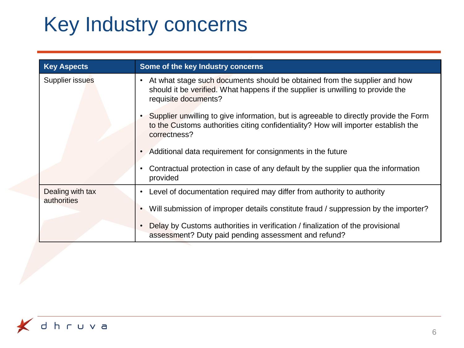# Key Industry concerns

| <b>Key Aspects</b> | Some of the key Industry concerns                                                                                                                                                                 |
|--------------------|---------------------------------------------------------------------------------------------------------------------------------------------------------------------------------------------------|
| Supplier issues    | At what stage such documents should be obtained from the supplier and how<br>$\bullet$<br>should it be verified. What happens if the supplier is unwilling to provide the<br>requisite documents? |
|                    | Supplier unwilling to give information, but is agreeable to directly provide the Form<br>to the Customs authorities citing confidentiality? How will importer establish the<br>correctness?       |
|                    | Additional data requirement for consignments in the future                                                                                                                                        |
|                    | Contractual protection in case of any default by the supplier qua the information<br>provided                                                                                                     |
| Dealing with tax   | Level of documentation required may differ from authority to authority                                                                                                                            |
| authorities        | Will submission of improper details constitute fraud / suppression by the importer?                                                                                                               |
|                    | Delay by Customs authorities in verification / finalization of the provisional<br>assessment? Duty paid pending assessment and refund?                                                            |

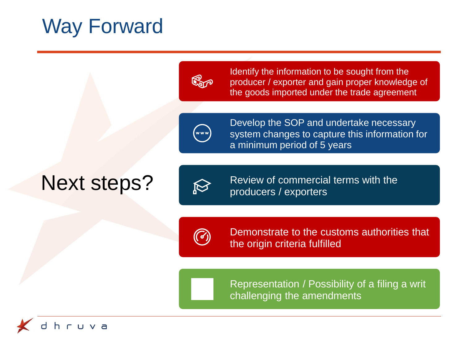### Way Forward



Identify the information to be sought from the producer / exporter and gain proper knowledge of the goods imported under the trade agreement



Develop the SOP and undertake necessary system changes to capture this information for a minimum period of 5 years

## Next steps?



Review of commercial terms with the producers / exporters



Demonstrate to the customs authorities that the origin criteria fulfilled

Representation / Possibility of a filing a writ challenging the amendments

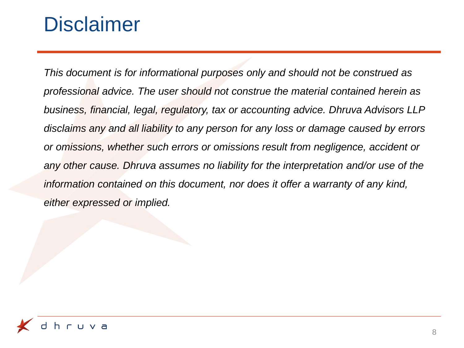#### **Disclaimer**

*This document is for informational purposes only and should not be construed as professional advice. The user should not construe the material contained herein as business, financial, legal, regulatory, tax or accounting advice. Dhruva Advisors LLP disclaims any and all liability to any person for any loss or damage caused by errors or omissions, whether such errors or omissions result from negligence, accident or any other cause. Dhruva assumes no liability for the interpretation and/or use of the information contained on this document, nor does it offer a warranty of any kind, either expressed or implied.*